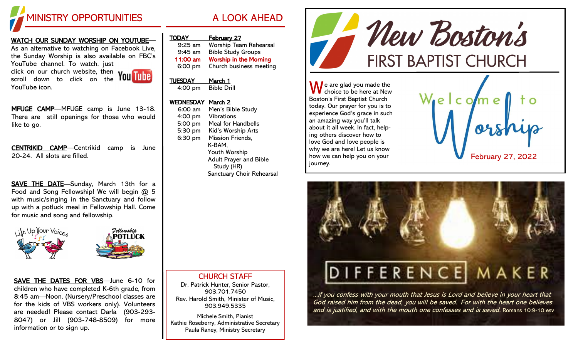

## WATCH OUR SUNDAY WORSHIP ON YOUTUBE—

As an alternative to watching on Facebook Live, the Sunday Worship is also available on FBC's YouTube channel. To watch, just

click on our church website, then scroll down to click on the YouTube icon.



MFUGE CAMP-MFUGE camp is June 13-18. There are still openings for those who would like to go.

CENTRIKID CAMP—Centrikid camp is June 20-24. All slots are filled.

SAVE THE DATE-Sunday, March 13th for a Food and Song Fellowship! We will begin @ 5 with music/singing in the Sanctuary and follow up with a potluck meal in Fellowship Hall. Come for music and song and fellowship.



SAVE THE DATES FOR VBS—June 6-10 for children who have completed K-6th grade, from 8:45 am—Noon. (Nursery/Preschool classes are for the kids of VBS workers only). Volunteers are needed! Please contact Darla (903-293- 8047) or Jill (903-748-8509) for more information or to sign up.

| <b>TODAY</b> | <b>February 27</b>            |
|--------------|-------------------------------|
| $9:25$ am    | <b>Worship Team Rehearsal</b> |
| $9:45$ am    | <b>Bible Study Groups</b>     |
| 11:00 am     | <b>Worship in the Morning</b> |
| 6:00 pm      | Church business meeting       |

### TUESDAY March 1 4:00 pm Bible Drill

# WEDNESDAY March 2

6:00 am Men's Bible Study 4:00 pm Vibrations 5:00 pm Meal for Handbells 5:30 pm Kid's Worship Arts 6:30 pm Mission Friends, K-BAM, Youth Worship Adult Prayer and Bible Study (HR) Sanctuary Choir Rehearsal

CHURCH STAFF Dr. Patrick Hunter, Senior Pastor, 903.701.7450 Rev. Harold Smith, Minister of Music, 903.949.5335 Michele Smith, Pianist Kathie Roseberry, Administrative Secretary Paula Raney, Ministry Secretary

- New Boston's **FIRST BAPTIST CHURCH** 

 $\bigwedge$  e are glad you made the choice to be here at New Boston's First Baptist Church today. Our prayer for you is to experience God's grace in such an amazing way you'll talk about it all week. In fact, helping others discover how to love God and love people is why we are here! Let us know how we can help you on your journey.





...if you confess with your mouth that Jesus is Lord and believe in your heart that God raised him from the dead, you will be saved. For with the heart one believes and is justified, and with the mouth one confesses and is saved. Romans 10:9-10 esv